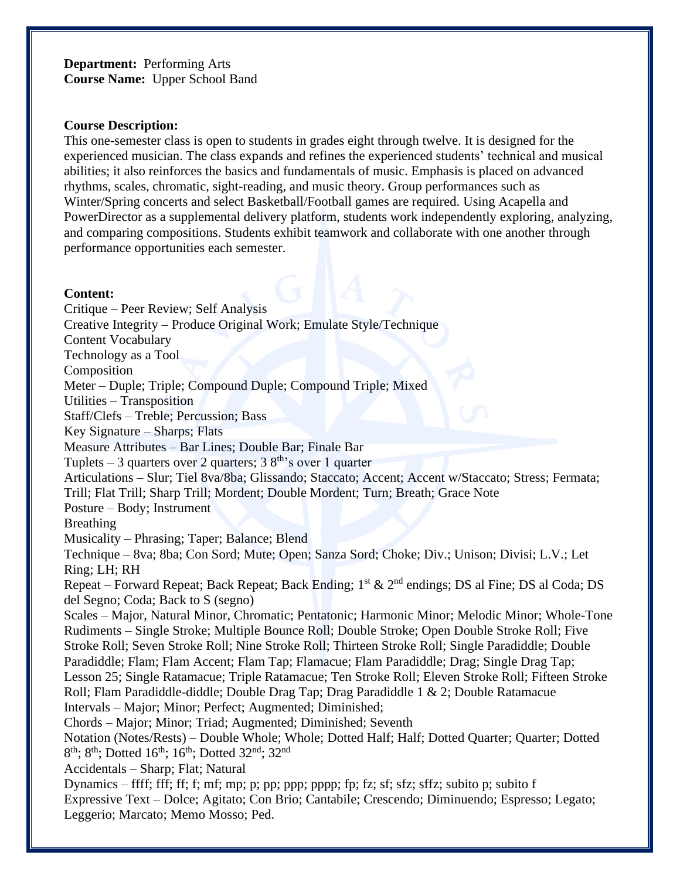# **Department:** Performing Arts **Course Name:** Upper School Band

#### **Course Description:**

This one-semester class is open to students in grades eight through twelve. It is designed for the experienced musician. The class expands and refines the experienced students' technical and musical abilities; it also reinforces the basics and fundamentals of music. Emphasis is placed on advanced rhythms, scales, chromatic, sight-reading, and music theory. Group performances such as Winter/Spring concerts and select Basketball/Football games are required. Using Acapella and PowerDirector as a supplemental delivery platform, students work independently exploring, analyzing, and comparing compositions. Students exhibit teamwork and collaborate with one another through performance opportunities each semester.

#### **Content:**

Critique – Peer Review; Self Analysis Creative Integrity – Produce Original Work; Emulate Style/Technique Content Vocabulary Technology as a Tool Composition Meter – Duple; Triple; Compound Duple; Compound Triple; Mixed Utilities – Transposition Staff/Clefs – Treble; Percussion; Bass Key Signature – Sharps; Flats Measure Attributes – Bar Lines; Double Bar; Finale Bar Tuplets – 3 quarters over 2 quarters;  $38<sup>th</sup>$ 's over 1 quarter Articulations – Slur; Tiel 8va/8ba; Glissando; Staccato; Accent; Accent w/Staccato; Stress; Fermata; Trill; Flat Trill; Sharp Trill; Mordent; Double Mordent; Turn; Breath; Grace Note Posture – Body; Instrument Breathing Musicality – Phrasing; Taper; Balance; Blend Technique – 8va; 8ba; Con Sord; Mute; Open; Sanza Sord; Choke; Div.; Unison; Divisi; L.V.; Let Ring; LH; RH Repeat – Forward Repeat; Back Repeat; Back Ending;  $1^{st}$  &  $2^{nd}$  endings; DS al Fine; DS al Coda; DS del Segno; Coda; Back to S (segno) Scales – Major, Natural Minor, Chromatic; Pentatonic; Harmonic Minor; Melodic Minor; Whole-Tone Rudiments – Single Stroke; Multiple Bounce Roll; Double Stroke; Open Double Stroke Roll; Five Stroke Roll; Seven Stroke Roll; Nine Stroke Roll; Thirteen Stroke Roll; Single Paradiddle; Double Paradiddle; Flam; Flam Accent; Flam Tap; Flamacue; Flam Paradiddle; Drag; Single Drag Tap; Lesson 25; Single Ratamacue; Triple Ratamacue; Ten Stroke Roll; Eleven Stroke Roll; Fifteen Stroke Roll; Flam Paradiddle-diddle; Double Drag Tap; Drag Paradiddle 1 & 2; Double Ratamacue Intervals – Major; Minor; Perfect; Augmented; Diminished; Chords – Major; Minor; Triad; Augmented; Diminished; Seventh Notation (Notes/Rests) – Double Whole; Whole; Dotted Half; Half; Dotted Quarter; Quarter; Dotted 8<sup>th</sup>; 8<sup>th</sup>; Dotted 16<sup>th</sup>; 16<sup>th</sup>; Dotted 32<sup>nd</sup>; 32<sup>nd</sup> Accidentals – Sharp; Flat; Natural Dynamics – ffff; fff; ff; f; mf; mp; p; pp; ppp; pppp; fp; fz; sf; sfz; sffz; subito p; subito f Expressive Text – Dolce; Agitato; Con Brio; Cantabile; Crescendo; Diminuendo; Espresso; Legato; Leggerio; Marcato; Memo Mosso; Ped.